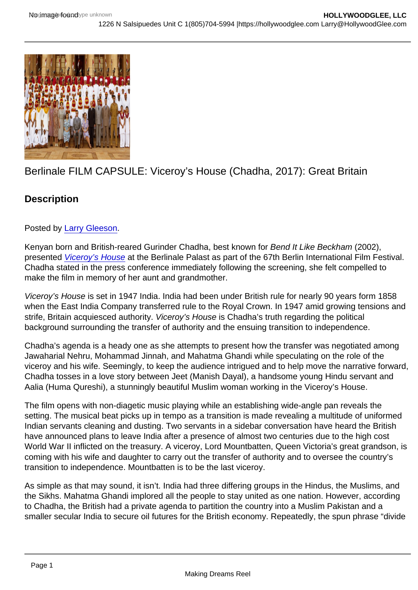## Berlinale FILM CAPSULE: Viceroy's House (Chadha, 2017): Great Britain

**Description** 

Posted by [Larry Gleeson](http://sbccfilmreviews.org/?s=Larry+Gleeson).

Kenyan born and British-reared Gurinder Chadha, best known for Bend It Like Beckham (2002), presented [Viceroy's House](http://www.imdb.com/title/tt4977530/?ref_=fn_al_tt_1) at the Berlinale Palast as part of the 67th Berlin International Film Festival. Chadha stated in the press conference immediately following the screening, she felt compelled to make the film in memory of her aunt and grandmother.

Viceroy's House is set in 1947 India. India had been under British rule for nearly 90 years form 1858 when the East India Company transferred rule to the Royal Crown. In 1947 amid growing tensions and strife, Britain acquiesced authority. Viceroy's House is Chadha's truth regarding the political background surrounding the transfer of authority and the ensuing transition to independence.

Chadha's agenda is a heady one as she attempts to present how the transfer was negotiated among Jawaharial Nehru, Mohammad Jinnah, and Mahatma Ghandi while speculating on the role of the viceroy and his wife. Seemingly, to keep the audience intrigued and to help move the narrative forward, Chadha tosses in a love story between Jeet (Manish Dayal), a handsome young Hindu servant and Aalia (Huma Qureshi), a stunningly beautiful Muslim woman working in the Viceroy's House.

The film opens with non-diagetic music playing while an establishing wide-angle pan reveals the setting. The musical beat picks up in tempo as a transition is made revealing a multitude of uniformed Indian servants cleaning and dusting. Two servants in a sidebar conversation have heard the British have announced plans to leave India after a presence of almost two centuries due to the high cost World War II inflicted on the treasury. A viceroy, Lord Mountbatten, Queen Victoria's great grandson, is coming with his wife and daughter to carry out the transfer of authority and to oversee the country's transition to independence. Mountbatten is to be the last viceroy.

As simple as that may sound, it isn't. India had three differing groups in the Hindus, the Muslims, and the Sikhs. Mahatma Ghandi implored all the people to stay united as one nation. However, according to Chadha, the British had a private agenda to partition the country into a Muslim Pakistan and a smaller secular India to secure oil futures for the British economy. Repeatedly, the spun phrase "divide